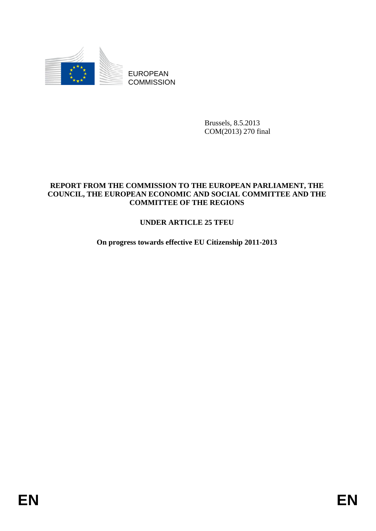

EUROPEAN **COMMISSION** 

> Brussels, 8.5.2013 COM(2013) 270 final

### **REPORT FROM THE COMMISSION TO THE EUROPEAN PARLIAMENT, THE COUNCIL, THE EUROPEAN ECONOMIC AND SOCIAL COMMITTEE AND THE COMMITTEE OF THE REGIONS**

# **UNDER ARTICLE 25 TFEU**

**On progress towards effective EU Citizenship 2011-2013**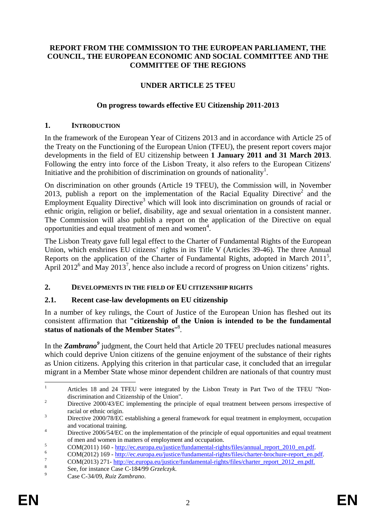#### **REPORT FROM THE COMMISSION TO THE EUROPEAN PARLIAMENT, THE COUNCIL, THE EUROPEAN ECONOMIC AND SOCIAL COMMITTEE AND THE COMMITTEE OF THE REGIONS**

## **UNDER ARTICLE 25 TFEU**

## **On progress towards effective EU Citizenship 2011-2013**

### **1. INTRODUCTION**

In the framework of the European Year of Citizens 2013 and in accordance with Article 25 of the Treaty on the Functioning of the European Union (TFEU), the present report covers major developments in the field of EU citizenship between **1 January 2011 and 31 March 2013**. Following the entry into force of the Lisbon Treaty, it also refers to the European Citizens' Initiative and the prohibition of discrimination on grounds of nationality<sup>1</sup>.

On discrimination on other grounds (Article 19 TFEU), the Commission will, in November 2013, publish a report on the implementation of the Racial Equality Directive<sup>2</sup> and the Employment Equality Directive<sup>3</sup> which will look into discrimination on grounds of racial or ethnic origin, religion or belief, disability, age and sexual orientation in a consistent manner. The Commission will also publish a report on the application of the Directive on equal opportunities and equal treatment of men and women<sup>4</sup>.

The Lisbon Treaty gave full legal effect to the Charter of Fundamental Rights of the European Union, which enshrines EU citizens' rights in its Title V (Articles 39-46). The three Annual Reports on the application of the Charter of Fundamental Rights, adopted in March  $2011<sup>5</sup>$ , April 2012<sup>6</sup> and May 2013<sup>7</sup>, hence also include a record of progress on Union citizens' rights.

## **2. DEVELOPMENTS IN THE FIELD OF EU CITIZENSHIP RIGHTS**

## **2.1. Recent case-law developments on EU citizenship**

In a number of key rulings, the Court of Justice of the European Union has fleshed out its consistent affirmation that **"citizenship of the Union is intended to be the fundamental status of nationals of the Member States**" 8 .

In the **Zambrano<sup>9</sup>** judgment, the Court held that Article 20 TFEU precludes national measures which could deprive Union citizens of the genuine enjoyment of the substance of their rights as Union citizens. Applying this criterion in that particular case, it concluded that an irregular migrant in a Member State whose minor dependent children are nationals of that country must

 $\frac{1}{1}$  Articles 18 and 24 TFEU were integrated by the Lisbon Treaty in Part Two of the TFEU "Nondiscrimination and Citizenship of the Union".

Directive 2000/43/EC implementing the principle of equal treatment between persons irrespective of racial or ethnic origin.

Directive 2000/78/EC establishing a general framework for equal treatment in employment, occupation and vocational training.

Directive 2006/54/EC on the implementation of the principle of equal opportunities and equal treatment of men and women in matters of employment and occupation.

COM(2011) 160 [- http://ec.europa.eu/justice/fundamental-rights/files/annual\\_report\\_2010\\_en.pdf.](http://ec.europa.eu/justice/fundamental-rights/files/annual_report_2010_en.pdf) 6

COM(2012) 169 - http://ec.europa.eu/justice/fundamental-rights/files/charter-brochure-report\_en.pdf.

COM(2013) 271- http://ec.europa.eu/justice/fundamental-rights/files/charter\_report\_2012\_en.pdf.

See, for instance Case C-184/99 *Grzelczyk*. 9

Case C-34/09, *Ruiz Zambrano*.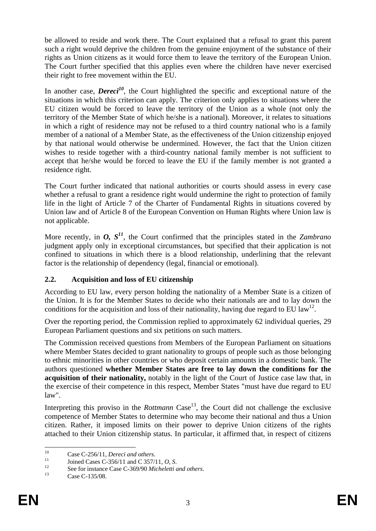be allowed to reside and work there. The Court explained that a refusal to grant this parent such a right would deprive the children from the genuine enjoyment of the substance of their rights as Union citizens as it would force them to leave the territory of the European Union. The Court further specified that this applies even where the children have never exercised their right to free movement within the EU.

In another case, *Dereci*<sup>10</sup>, the Court highlighted the specific and exceptional nature of the situations in which this criterion can apply. The criterion only applies to situations where the EU citizen would be forced to leave the territory of the Union as a whole (not only the territory of the Member State of which he/she is a national). Moreover, it relates to situations in which a right of residence may not be refused to a third country national who is a family member of a national of a Member State, as the effectiveness of the Union citizenship enjoyed by that national would otherwise be undermined. However, the fact that the Union citizen wishes to reside together with a third-country national family member is not sufficient to accept that he/she would be forced to leave the EU if the family member is not granted a residence right.

The Court further indicated that national authorities or courts should assess in every case whether a refusal to grant a residence right would undermine the right to protection of family life in the light of Article 7 of the Charter of Fundamental Rights in situations covered by Union law and of Article 8 of the European Convention on Human Rights where Union law is not applicable.

More recently, in  $O$ ,  $S<sup>11</sup>$ , the Court confirmed that the principles stated in the *Zambrano* judgment apply only in exceptional circumstances, but specified that their application is not confined to situations in which there is a blood relationship, underlining that the relevant factor is the relationship of dependency (legal, financial or emotional).

# **2.2. Acquisition and loss of EU citizenship**

According to EU law, every person holding the nationality of a Member State is a citizen of the Union. It is for the Member States to decide who their nationals are and to lay down the conditions for the acquisition and loss of their nationality, having due regard to EU law<sup>12</sup>.

Over the reporting period, the Commission replied to approximately 62 individual queries, 29 European Parliament questions and six petitions on such matters.

The Commission received questions from Members of the European Parliament on situations where Member States decided to grant nationality to groups of people such as those belonging to ethnic minorities in other countries or who deposit certain amounts in a domestic bank. The authors questioned **whether Member States are free to lay down the conditions for the acquisition of their nationality,** notably in the light of the Court of Justice case law that, in the exercise of their competence in this respect, Member States "must have due regard to EU law".

Interpreting this proviso in the *Rottmann* Case<sup>13</sup>, the Court did not challenge the exclusive competence of Member States to determine who may become their national and thus a Union citizen. Rather, it imposed limits on their power to deprive Union citizens of the rights attached to their Union citizenship status. In particular, it affirmed that, in respect of citizens

 $10\,$ 

<sup>&</sup>lt;sup>10</sup> Case C-256/11, *Dereci and others*.<br>
<sup>11</sup> Joined Cases C-356/11 and C 357/11, *O, S*.<br>
See for instance Case C-369/90 *Micheletti and others*.<br>
Case C-135/08.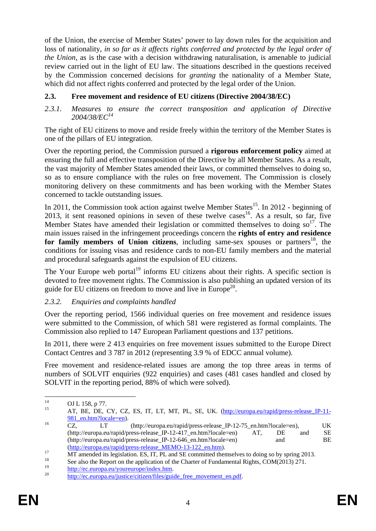of the Union, the exercise of Member States' power to lay down rules for the acquisition and loss of nationality, *in so far as it affects rights conferred and protected by the legal order of the Union,* as is the case with a decision withdrawing naturalisation, is amenable to judicial review carried out in the light of EU law. The situations described in the questions received by the Commission concerned decisions for *granting* the nationality of a Member State, which did not affect rights conferred and protected by the legal order of the Union.

## **2.3. Free movement and residence of EU citizens (Directive 2004/38/EC)**

### 2.3.1. Measures to ensure the correct transposition and application of Directive *2004/38/EC14*

The right of EU citizens to move and reside freely within the territory of the Member States is one of the pillars of EU integration.

Over the reporting period, the Commission pursued a **rigorous enforcement policy** aimed at ensuring the full and effective transposition of the Directive by all Member States. As a result, the vast majority of Member States amended their laws, or committed themselves to doing so, so as to ensure compliance with the rules on free movement. The Commission is closely monitoring delivery on these commitments and has been working with the Member States concerned to tackle outstanding issues.

In 2011, the Commission took action against twelve Member States<sup>15</sup>. In 2012 - beginning of 2013, it sent reasoned opinions in seven of these twelve cases<sup>16</sup>. As a result, so far, five Member States have amended their legislation or committed themselves to doing  $\mathrm{so}^{17}$ . The main issues raised in the infringement proceedings concern the **rights of entry and residence for family members of Union citizens**, including same-sex spouses or partners<sup>18</sup>, the conditions for issuing visas and residence cards to non-EU family members and the material and procedural safeguards against the expulsion of EU citizens.

The Your Europe web portal $19$  informs EU citizens about their rights. A specific section is devoted to free movement rights. The Commission is also publishing an updated version of its guide for EU citizens on freedom to move and live in Europe<sup>20</sup>.

## *2.3.2. Enquiries and complaints handled*

Over the reporting period, 1566 individual queries on free movement and residence issues were submitted to the Commission, of which 581 were registered as formal complaints. The Commission also replied to 147 European Parliament questions and 137 petitions.

In 2011, there were 2 413 enquiries on free movement issues submitted to the Europe Direct Contact Centres and 3 787 in 2012 (representing 3.9 % of EDCC annual volume).

Free movement and residence-related issues are among the top three areas in terms of numbers of SOLVIT enquiries (922 enquiries) and cases (481 cases handled and closed by SOLVIT in the reporting period, 88% of which were solved).

 $14$  $^{14}$  OJ L 158, p 77.

<sup>15</sup> AT, BE, DE, CY, CZ, ES, IT, LT, MT, PL, SE, UK. [\(http://europa.eu/rapid/press-release\\_IP-11-](http://europa.eu/rapid/press-release_IP-11-981_en.htm?locale=en) <sup>16</sup> [981\\_en.htm?locale=en\)](http://europa.eu/rapid/press-release_IP-11-981_en.htm?locale=en). 16 CZ, LT (http://europa.eu/rapid/press-release IP-12-75 en.htm?locale=en), UK

<sup>(</sup>http://europa.eu/rapid/press-release\_IP-12-417\_en.htm?locale=en) AT, DE and SE (http://europa.eu/rapid/press-release\_IP-12-646\_en.htm?locale=en) and BE

<sup>(</sup>http://europa.eu/rapid/press-release MEMO-13-122\_en.htm).<br> [MT amended its legislation. ES, IT, PL and SE committed the](http://europa.eu/rapid/press-release_MEMO-13-122_en.htm)mselves to doing so by spring 2013.<br>
<sup>18</sup> See also the Papert on the ameliation of the Charter of Euro

<sup>&</sup>lt;sup>18</sup> See also the Report on the application of the Charter of Fundamental Rights, COM(2013) 271.

 $\frac{\text{http://ec.europa.eu/youreurope/index.htm.}}{\text{http://ec.europa.eu/justice/citizen/files/guide}$  free movement en.pdf.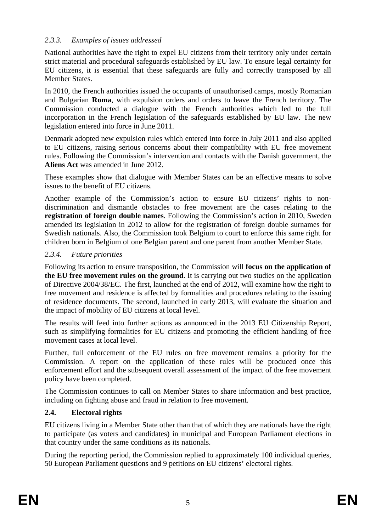## *2.3.3. Examples of issues addressed*

National authorities have the right to expel EU citizens from their territory only under certain strict material and procedural safeguards established by EU law. To ensure legal certainty for EU citizens, it is essential that these safeguards are fully and correctly transposed by all Member States.

In 2010, the French authorities issued the occupants of unauthorised camps, mostly Romanian and Bulgarian **Roma**, with expulsion orders and orders to leave the French territory. The Commission conducted a dialogue with the French authorities which led to the full incorporation in the French legislation of the safeguards established by EU law. The new legislation entered into force in June 2011.

Denmark adopted new expulsion rules which entered into force in July 2011 and also applied to EU citizens, raising serious concerns about their compatibility with EU free movement rules. Following the Commission's intervention and contacts with the Danish government, the **Aliens Act** was amended in June 2012.

These examples show that dialogue with Member States can be an effective means to solve issues to the benefit of EU citizens.

Another example of the Commission's action to ensure EU citizens' rights to nondiscrimination and dismantle obstacles to free movement are the cases relating to the **registration of foreign double names**. Following the Commission's action in 2010, Sweden amended its legislation in 2012 to allow for the registration of foreign double surnames for Swedish nationals. Also, the Commission took Belgium to court to enforce this same right for children born in Belgium of one Belgian parent and one parent from another Member State.

### *2.3.4. Future priorities*

Following its action to ensure transposition, the Commission will **focus on the application of the EU free movement rules on the ground**. It is carrying out two studies on the application of Directive 2004/38/EC. The first, launched at the end of 2012, will examine how the right to free movement and residence is affected by formalities and procedures relating to the issuing of residence documents. The second, launched in early 2013, will evaluate the situation and the impact of mobility of EU citizens at local level.

The results will feed into further actions as announced in the 2013 EU Citizenship Report, such as simplifying formalities for EU citizens and promoting the efficient handling of free movement cases at local level.

Further, full enforcement of the EU rules on free movement remains a priority for the Commission. A report on the application of these rules will be produced once this enforcement effort and the subsequent overall assessment of the impact of the free movement policy have been completed.

The Commission continues to call on Member States to share information and best practice, including on fighting abuse and fraud in relation to free movement.

## **2.4. Electoral rights**

EU citizens living in a Member State other than that of which they are nationals have the right to participate (as voters and candidates) in municipal and European Parliament elections in that country under the same conditions as its nationals.

During the reporting period, the Commission replied to approximately 100 individual queries, 50 European Parliament questions and 9 petitions on EU citizens' electoral rights.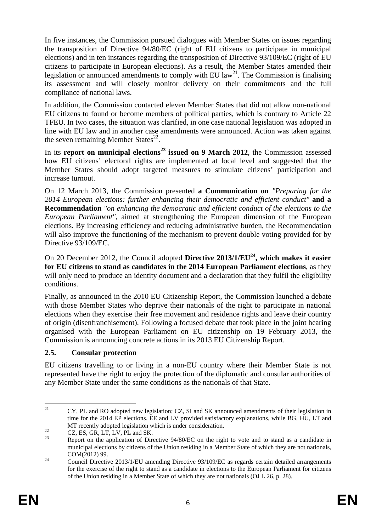In five instances, the Commission pursued dialogues with Member States on issues regarding the transposition of Directive 94/80/EC (right of EU citizens to participate in municipal elections) and in ten instances regarding the transposition of Directive 93/109/EC (right of EU citizens to participate in European elections). As a result, the Member States amended their legislation or announced amendments to comply with EU law<sup>21</sup>. The Commission is finalising its assessment and will closely monitor delivery on their commitments and the full compliance of national laws.

In addition, the Commission contacted eleven Member States that did not allow non-national EU citizens to found or become members of political parties, which is contrary to Article 22 TFEU. In two cases, the situation was clarified, in one case national legislation was adopted in line with EU law and in another case amendments were announced. Action was taken against the seven remaining Member States $^{22}$ .

In its **report on municipal elections**<sup>23</sup> issued on 9 March 2012, the Commission assessed how EU citizens' electoral rights are implemented at local level and suggested that the Member States should adopt targeted measures to stimulate citizens' participation and increase turnout.

On 12 March 2013, the Commission presented **a Communication on** *"Preparing for the 2014 European elections: further enhancing their democratic and efficient conduct"* **and a Recommendation** *"on enhancing the democratic and efficient conduct of the elections to the European Parliament"*, aimed at strengthening the European dimension of the European elections. By increasing efficiency and reducing administrative burden, the Recommendation will also improve the functioning of the mechanism to prevent double voting provided for by Directive 93/109/EC.

On 20 December 2012, the Council adopted **Directive 2013/1/EU<sup>24</sup>, which makes it easier for EU citizens to stand as candidates in the 2014 European Parliament elections**, as they will only need to produce an identity document and a declaration that they fulfil the eligibility conditions.

Finally, as announced in the 2010 EU Citizenship Report, the Commission launched a debate with those Member States who deprive their nationals of the right to participate in national elections when they exercise their free movement and residence rights and leave their country of origin (disenfranchisement). Following a focused debate that took place in the joint hearing organised with the European Parliament on EU citizenship on 19 February 2013, the Commission is announcing concrete actions in its 2013 EU Citizenship Report.

## **2.5. Consular protection**

EU citizens travelling to or living in a non-EU country where their Member State is not represented have the right to enjoy the protection of the diplomatic and consular authorities of any Member State under the same conditions as the nationals of that State.

 $21$ 21 CY, PL and RO adopted new legislation; CZ, SI and SK announced amendments of their legislation in time for the 2014 EP elections. EE and LV provided satisfactory explanations, while BG, HU, LT and MT recently adopted legislation which is under consideration.<br>CZ, ES, GR, LT, LV, PL and SK.

<sup>23</sup> Report on the application of Directive 94/80/EC on the right to vote and to stand as a candidate in municipal elections by citizens of the Union residing in a Member State of which they are not nationals, COM(2012) 99. 24 Council Directive 2013/1/EU amending Directive 93/109/EC as regards certain detailed arrangements

for the exercise of the right to stand as a candidate in elections to the European Parliament for citizens of the Union residing in a Member State of which they are not nationals (OJ L 26, p. 28).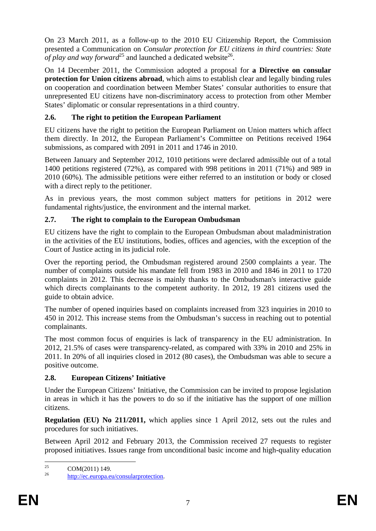On 23 March 2011, as a follow-up to the 2010 EU Citizenship Report, the Commission presented a Communication on *Consular protection for EU citizens in third countries: State of play and way forward*<sup>25</sup> and launched a dedicated website<sup>26</sup>.

On 14 December 2011, the Commission adopted a proposal for **a Directive on consular protection for Union citizens abroad**, which aims to establish clear and legally binding rules on cooperation and coordination between Member States' consular authorities to ensure that unrepresented EU citizens have non-discriminatory access to protection from other Member States' diplomatic or consular representations in a third country.

# **2.6. The right to petition the European Parliament**

EU citizens have the right to petition the European Parliament on Union matters which affect them directly. In 2012, the European Parliament's Committee on Petitions received 1964 submissions, as compared with 2091 in 2011 and 1746 in 2010.

Between January and September 2012, 1010 petitions were declared admissible out of a total 1400 petitions registered (72%), as compared with 998 petitions in 2011 (71%) and 989 in 2010 (60%). The admissible petitions were either referred to an institution or body or closed with a direct reply to the petitioner.

As in previous years, the most common subject matters for petitions in 2012 were fundamental rights/justice, the environment and the internal market.

# **2.7. The right to complain to the European Ombudsman**

EU citizens have the right to complain to the European Ombudsman about maladministration in the activities of the EU institutions, bodies, offices and agencies, with the exception of the Court of Justice acting in its judicial role.

Over the reporting period, the Ombudsman registered around 2500 complaints a year. The number of complaints outside his mandate fell from 1983 in 2010 and 1846 in 2011 to 1720 complaints in 2012. This decrease is mainly thanks to the Ombudsman's interactive guide which directs complainants to the competent authority. In 2012, 19 281 citizens used the guide to obtain advice.

The number of opened inquiries based on complaints increased from 323 inquiries in 2010 to 450 in 2012. This increase stems from the Ombudsman's success in reaching out to potential complainants.

The most common focus of enquiries is lack of transparency in the EU administration. In 2012, 21.5% of cases were transparency-related, as compared with 33% in 2010 and 25% in 2011. In 20% of all inquiries closed in 2012 (80 cases), the Ombudsman was able to secure a positive outcome.

# **2.8. European Citizens' Initiative**

Under the European Citizens' Initiative, the Commission can be invited to propose legislation in areas in which it has the powers to do so if the initiative has the support of one million citizens.

**Regulation (EU) No 211/2011,** which applies since 1 April 2012, sets out the rules and procedures for such initiatives.

Between April 2012 and February 2013, the Commission received 27 requests to register proposed initiatives. Issues range from unconditional basic income and high-quality education

 $25$  $\frac{25}{26}$  COM(2011) 149.

http://ec.europa.eu/consularprotection.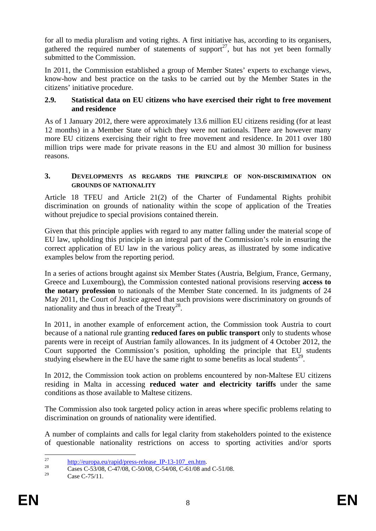for all to media pluralism and voting rights. A first initiative has, according to its organisers, gathered the required number of statements of support<sup>27</sup>, but has not yet been formally submitted to the Commission.

In 2011, the Commission established a group of Member States' experts to exchange views, know-how and best practice on the tasks to be carried out by the Member States in the citizens' initiative procedure.

#### **2.9. Statistical data on EU citizens who have exercised their right to free movement and residence**

As of 1 January 2012, there were approximately 13.6 million EU citizens residing (for at least 12 months) in a Member State of which they were not nationals. There are however many more EU citizens exercising their right to free movement and residence. In 2011 over 180 million trips were made for private reasons in the EU and almost 30 million for business reasons.

#### **3. DEVELOPMENTS AS REGARDS THE PRINCIPLE OF NON-DISCRIMINATION ON GROUNDS OF NATIONALITY**

Article 18 TFEU and Article 21(2) of the Charter of Fundamental Rights prohibit discrimination on grounds of nationality within the scope of application of the Treaties without prejudice to special provisions contained therein.

Given that this principle applies with regard to any matter falling under the material scope of EU law, upholding this principle is an integral part of the Commission's role in ensuring the correct application of EU law in the various policy areas, as illustrated by some indicative examples below from the reporting period.

In a series of actions brought against six Member States (Austria, Belgium, France, Germany, Greece and Luxembourg), the Commission contested national provisions reserving **access to the notary profession** to nationals of the Member State concerned. In its judgments of 24 May 2011, the Court of Justice agreed that such provisions were discriminatory on grounds of nationality and thus in breach of the Treaty<sup>28</sup>.

In 2011, in another example of enforcement action, the Commission took Austria to court because of a national rule granting **reduced fares on public transport** only to students whose parents were in receipt of Austrian family allowances. In its judgment of 4 October 2012, the Court supported the Commission's position, upholding the principle that EU students studying elsewhere in the EU have the same right to some benefits as local students<sup>29</sup>.

In 2012, the Commission took action on problems encountered by non-Maltese EU citizens residing in Malta in accessing **reduced water and electricity tariffs** under the same conditions as those available to Maltese citizens.

The Commission also took targeted policy action in areas where specific problems relating to discrimination on grounds of nationality were identified.

A number of complaints and calls for legal clarity from stakeholders pointed to the existence of questionable nationality restrictions on access to sporting activities and/or sports

 $27$ 

<sup>&</sup>lt;sup>27</sup><br>
<sup>28</sup> http://europa.eu/rapid/press-release\_IP-13-107\_en.htm.<br> [Cases C-53/08, C-47/08, C-50/08, C-54/08, C-61/08 and C-51](http://europa.eu/rapid/press-release_IP-13-107_en.htm)/08.

Case C-75/11.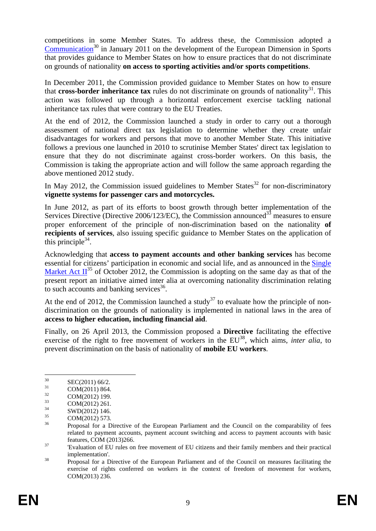competitions in some Member States. To address these, the Commission adopted a  $Commonization<sup>30</sup>$  in January 2011 on the development of the European Dimension in Sports that provides guidance to Member States on how to ensure practices that do not discriminate on grounds of nationality **on access to sporting activities and/or sports competitions**.

In December 2011, the Commission provided guidance to Member States on how to ensure that **cross-border inheritance tax** rules do not discriminate on grounds of nationality<sup>31</sup>. This action was followed up through a horizontal enforcement exercise tackling national inheritance tax rules that were contrary to the EU Treaties.

At the end of 2012, the Commission launched a study in order to carry out a thorough assessment of national direct tax legislation to determine whether they create unfair disadvantages for workers and persons that move to another Member State. This initiative follows a previous one launched in 2010 to scrutinise Member States' direct tax legislation to ensure that they do not discriminate against cross-border workers. On this basis, the Commission is taking the appropriate action and will follow the same approach regarding the above mentioned 2012 study.

In May 2012, the Commission issued guidelines to Member States<sup>32</sup> for non-discriminatory **vignette systems for passenger cars and motorcycles.**

In June 2012, as part of its efforts to boost growth through better implementation of the Services Directive (Directive 2006/123/EC), the Commission announced<sup>33</sup> measures to ensure proper enforcement of the principle of non-discrimination based on the nationality **of recipients of services**, also issuing specific guidance to Member States on the application of this principle<sup>34</sup>.

Acknowledging that **access to payment accounts and other banking services** has become essential for citizens' participation in economic and social life, and as announced in th[e Single](http://ec.europa.eu/internal_market/smact/docs/single-market-act2_en.pdf)  Market Act  $II^{35}$  of October 2012, the Commission is adopting on the same day as that of the present report an initiative aimed inter alia at overcoming nationality discrimination relating to such accounts and banking services $36$ .

At the end of 2012, the Commission launched a study<sup>37</sup> to evaluate how the principle of nondiscrimination on the grounds of nationality is implemented in national laws in the area of **access to higher education, including financial aid**.

Finally, on 26 April 2013, the Commission proposed a **Directive** facilitating the effective exercise of the right to free movement of workers in the  $EU^{38}$ , which aims, *inter alia*, to prevent discrimination on the basis of nationality of **mobile EU workers**.

 $30^{\circ}$  $\frac{30}{31}$  SEC(2011) 66/2.

 $\frac{31}{32}$  COM(2011) 864.

 $\frac{32}{33}$  COM(2012) 199.

 $\frac{33}{34}$  COM(2012) 261.

 $\frac{34}{35}$  SWD(2012) 146.

 $\frac{35}{36}$  COM(2012) 573.

<sup>36</sup> Proposal for a Directive of the European Parliament and the Council on the comparability of fees related to payment accounts, payment account switching and access to payment accounts with basic features, COM (2013)266.<br><sup>37</sup> Evaluation of EU rules on free movement of EU citizens and their family members and their practical

implementation'.<br><sup>38</sup> Proposal for a Directive of the European Parliament and of the Council on measures facilitating the

exercise of rights conferred on workers in the context of freedom of movement for workers, COM(2013) 236.